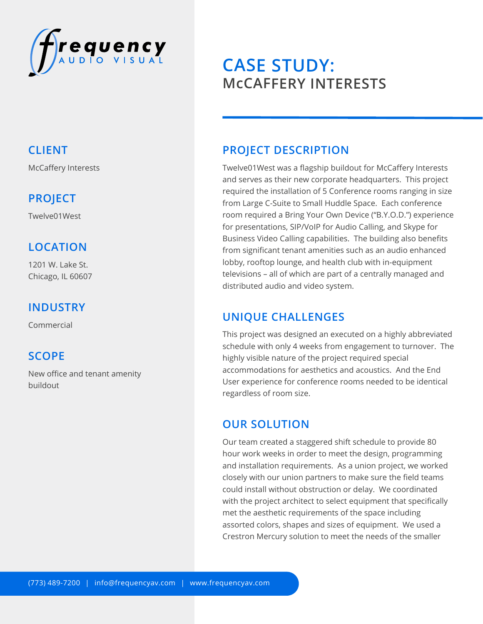

## **CLIENT**

McCaffery Interests

## **PROJECT**

Twelve01West

## **LOCATION**

1201 W. Lake St. Chicago, IL 60607

### **INDUSTRY**

Commercial

### **SCOPE**

New office and tenant amenity buildout

# **CASE STUDY: McCAFFERY INTERESTS**

## **PROJECT DESCRIPTION**

Twelve01West was a flagship buildout for McCaffery Interests and serves as their new corporate headquarters. This project required the installation of 5 Conference rooms ranging in size from Large C-Suite to Small Huddle Space. Each conference room required a Bring Your Own Device ("B.Y.O.D.") experience for presentations, SIP/VoIP for Audio Calling, and Skype for Business Video Calling capabilities. The building also benefits from significant tenant amenities such as an audio enhanced lobby, rooftop lounge, and health club with in-equipment televisions – all of which are part of a centrally managed and distributed audio and video system.

## **UNIQUE CHALLENGES**

This project was designed an executed on a highly abbreviated schedule with only 4 weeks from engagement to turnover. The highly visible nature of the project required special accommodations for aesthetics and acoustics. And the End User experience for conference rooms needed to be identical regardless of room size.

### **OUR SOLUTION**

Our team created a staggered shift schedule to provide 80 hour work weeks in order to meet the design, programming and installation requirements. As a union project, we worked closely with our union partners to make sure the field teams could install without obstruction or delay. We coordinated with the project architect to select equipment that specifically met the aesthetic requirements of the space including assorted colors, shapes and sizes of equipment. We used a Crestron Mercury solution to meet the needs of the smaller